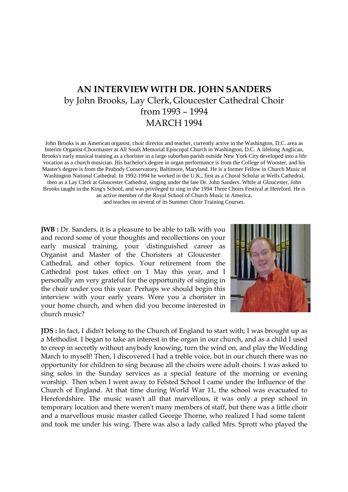## **AN INTERVIEW WITH DR. JOHN SANDERS** by John Brooks, Lay Clerk, Gloucester Cathedral Choir from 1993 – 1994 MARCH 1994

John Brooks is an American organist, choir director and teacher, currently active in the Washington, D.C. area as Interim Organist-Choirmaster at All Souls Memorial Episcopal Church in Washington, D.C. A lifelong Anglican, Brooks's early musical training as a chorister in a large suburban parish outside New York City developed into a life vocation as a church musician. His bachelor's degree in organ performance is from the College of Wooster, and his Master's degree is from the Peabody Conservatory, Baltimore, Maryland. He is a former Fellow in Church Music of Washington National Cathedral. In 1992-1994 he worked in the U.K., first as a Choral Scholar at Wells Cathedral, then as a Lay Clerk at Gloucester Cathedral, singing under the late Dr. John Sanders. While at Gloucester, John Brooks taught in the King's School, and was privileged to sing in the 1994 Three Choirs Festival at Hereford. He is an active member of the Royal School of Church Music in America, and teaches on several of its Summer Choir Training Courses.

**JWB** : Dr. Sanders, it is a pleasure to be able to talk with you and record some of your thoughts and recollections on your early musical training, your 'distinguished career as Organist and Master of the Choristers at Gloucester Cathedral, and other topics. Your retirement from the Cathedral post takes effect on 1 May this year, and I personally am very grateful for the opportunity of singing in the choir under you this year. Perhaps we should begin this interview with your early years. Were you a chorister in your home church, and when did you become interested in church music?



**JDS :** In fact, I didn't belong to the Church of England to start with; I was brought up as a Methodist. I began to take an interest in the organ in our church, and as a child I used to creep in secretly without anybody knowing, turn the wind on, and play the Wedding March to myself! Then, I discovered I had a treble voice, but in our church there was no opportunity for children to sing because all the choirs were adult choirs. I was asked to sing solos in the Sunday services as a special feature of the morning or evening worship. - Then when I went away to Felsted School I came under the Influence of the Church of England. At that time during World War 11, the school was evacuated to Herefordshire. The music wasn't all that marvellous, it was only a prep school in temporary location and there weren't many members of staff, but there was a little choir and a marvellous music master called George Thorne, who realized I had some talent and took me under his wing. There was also a lady called Mrs. Sprott who played the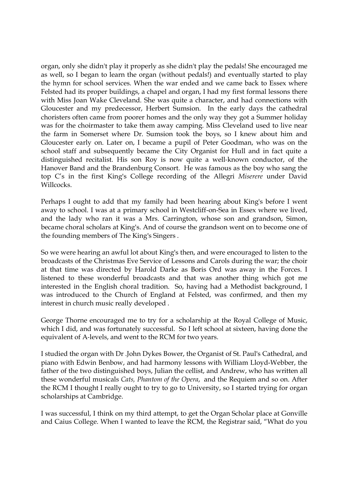organ, only she didn't play it properly as she didn't play the pedals! She encouraged me as well, so I began to learn the organ (without pedals!) and eventually started to play the hymn for school services. When the war ended and we came back to Essex where Felsted had its proper buildings, a chapel and organ, I had my first formal lessons there with Miss Joan Wake Cleveland. She was quite a character, and had connections with Gloucester and my predecessor, Herbert Sumsion. In the early days the cathedral choristers often came from poorer homes and the only way they got a Summer holiday was for the choirmaster to take them away camping. Miss Cleveland used to live near the farm in Somerset where Dr. Sumsion took the boys, so I knew about him and Gloucester early on. Later on, I became a pupil of Peter Goodman, who was on the school staff and subsequently became the City Organist for Hull and in fact quite a distinguished recitalist. His son Roy is now quite a well-known conductor, of the Hanover Band and the Brandenburg Consort. He was famous as the boy who sang the top C's in the first King's College recording of the Allegri *Miserere* under David Willcocks.

Perhaps I ought to add that my family had been hearing about King's before I went away to school. I was at a primary school in Westcliff-on-Sea in Essex where we lived, and the lady who ran it was a Mrs. Carrington, whose son and grandson, Simon, became choral scholars at King's. And of course the grandson went on to become one of the founding members of The King's Singers .

So we were hearing an awful lot about King's then, and were encouraged to listen to the broadcasts of the Christmas Eve Service of Lessons and Carols during the war; the choir at that time was directed by Harold Darke as Boris Ord was away in the Forces. I listened to these wonderful broadcasts and that was another thing which got me interested in the English choral tradition. So, having had a Methodist background, I was introduced to the Church of England at Felsted, was confirmed, and then my interest in church music really developed .

George Thorne encouraged me to try for a scholarship at the Royal College of Music, which I did, and was fortunately successful. So I left school at sixteen, having done the equivalent of A-levels, and went to the RCM for two years.

I studied the organ with Dr .John Dykes Bower, the Organist of St. Paul's Cathedral, and piano with Edwin Benbow, and had harmony lessons with William Lloyd-Webber, the father of the two distinguished boys, Julian the cellist, and Andrew, who has written all these wonderful musicals *Cats, Phantom of the Opera*, and the Requiem and so on. After the RCM I thought I really ought to try to go to University, so I started trying for organ scholarships at Cambridge.

I was successful, I think on my third attempt, to get the Organ Scholar place at Gonville and Caius College. When I wanted to leave the RCM, the Registrar said, "What do you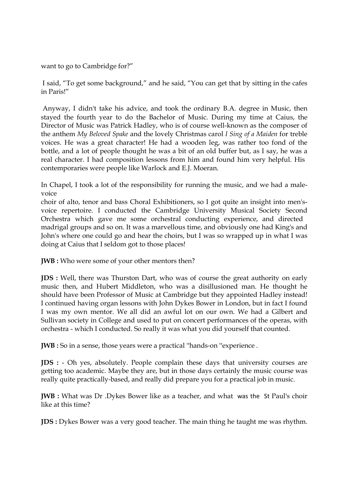want to go to Cambridge for?"

I said, "To get some background," and he said, "You can get that by sitting in the cafes in Paris!"

 Anyway, I didn't take his advice, and took the ordinary B.A. degree in Music, then stayed the fourth year to do the Bachelor of Music. During my time at Caius, the Director of Music was Patrick Hadley, who is of course well-known as the composer of the anthem *My Beloved Spake* and the lovely Christmas carol *I Sing of a Maiden* for treble voices. He was a great character! He had a wooden leg, was rather too fond of the bottle, and a lot of people thought he was a bit of an old buffer but, as I say, he was a real character. I had composition lessons from him and found him very helpful. His contemporaries were people like Warlock and E.J. Moeran.

In Chapel, I took a lot of the responsibility for running the music, and we had a malevoice

choir of alto, tenor and bass Choral Exhibitioners, so I got quite an insight into men'svoice repertoire. I conducted the Cambridge University Musical Society Second Orchestra which gave me some orchestral conducting experience, and directed madrigal groups and so on. It was a marvellous time, and obviously one had King's and John's where one could go and hear the choirs, but I was so wrapped up in what I was doing at Caius that I seldom got to those places!

**JWB** : Who were some of your other mentors then?

**JDS :** Well, there was Thurston Dart, who was of course the great authority on early music then, and Hubert Middleton, who was a disillusioned man. He thought he should have been Professor of Music at Cambridge but they appointed Hadley instead! I continued having organ lessons with John Dykes Bower in London, but in fact I found I was my own mentor. We all did an awful lot on our own. We had a Gilbert and Sullivan society in College and used to put on concert performances of the operas, with orchestra - which I conducted. So really it was what you did yourself that counted.

**JWB :** So in a sense, those years were a practical ''hands-on ''experience .

**JDS :** - Oh yes, absolutely. People complain these days that university courses are getting too academic. Maybe they are, but in those days certainly the music course was really quite practically-based, and really did prepare you for a practical job in music.

**JWB :** What was Dr .Dykes Bower like as a teacher, and what was the St Paul's choir like at this time?

**JDS :** Dykes Bower was a very good teacher. The main thing he taught me was rhythm.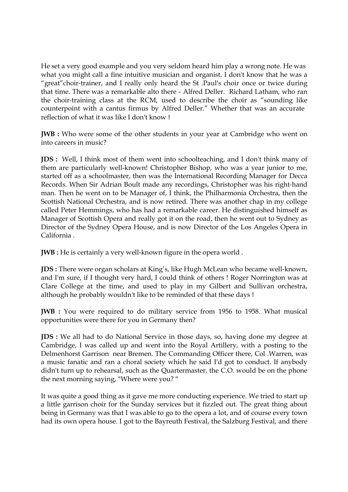He set a very good example and you very seldom heard him play a wrong note. He was what you might call a fine intuitive musician and organist. I don't know that he was a "great"choir-trainer, and I really only heard the St .Paul's choir once or twice during that time. There was a remarkable alto there - Alfred Deller. Richard Latham, who ran the choir-training class at the RCM, used to describe the choir as "sounding like counterpoint with a cantus firmus by Alfred Deller." Whether that was an accurate reflection of what it was like I don't know !

**JWB** : Who were some of the other students in your year at Cambridge who went on into careers in music?

**JDS :** Well, I think most of them went into schoolteaching, and I don't think many of them are particularly well-known! Christopher Bishop, who was a year junior to me, started off as a schoolmaster, then was the International Recording Manager for Decca Records. When Sir Adrian Boult made any recordings, Christopher was his right-hand man. Then he went on to be Manager of, I think, the Philharmonia Orchestra, then the Scottish National Orchestra, and is now retired. There was another chap in my college called Peter Hemmings, who has had a remarkable career. He distinguished himself as Manager of Scottish Opera and really got it on the road, then he went out to Sydney as Director of the Sydney Opera House, and is now Director of the Los Angeles Opera in California .

**JWB** : He is certainly a very well-known figure in the opera world.

**JDS :** There were organ scholars at King's, like Hugh McLean who became well-known, and I'm sure, if I thought very hard, I could think of others ! Roger Norrington was at Clare College at the time, and used to play in my Gilbert and Sullivan orchestra, although he probably wouldn't like to be reminded of that these days !

**JWB :** You were required to do military service from 1956 to 1958. What musical opportunities were there for you in Germany then?

**JDS :** We all had to do National Service in those days, so, having done my degree at Cambridge, I was called up and went into the Royal Artillery, with a posting to the Delmenhorst Garrison near Bremen. The Commanding Officer there, Col .Warren, was a music fanatic and ran a choral society which he said I'd got to conduct. If anybody didn't turn up to rehearsal, such as the Quartermaster, the C.O. would be on the phone the next morning saying, "Where were you? "

It was quite a good thing as it gave me more conducting experience. We tried to start up a little garrison choir for the Sunday services but it fizzled out. The great thing about being in Germany was that I was able to go to the opera a lot, and of course every town had its own opera house. I got to the Bayreuth Festival, the Salzburg Festival, and there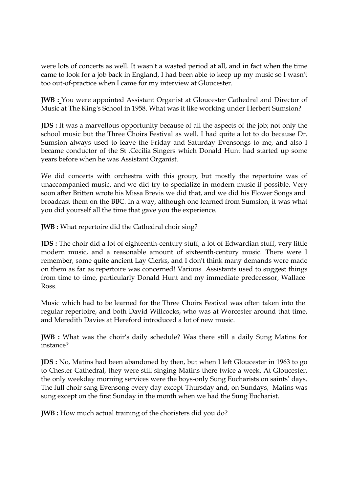were lots of concerts as well. It wasn't a wasted period at all, and in fact when the time came to look for a job back in England, I had been able to keep up my music so I wasn't too out-of-practice when I came for my interview at Gloucester.

**JWB :** You were appointed Assistant Organist at Gloucester Cathedral and Director of Music at The King's School in 1958. What was it like working under Herbert Sumsion?

**JDS :** It was a marvellous opportunity because of all the aspects of the job; not only the school music but the Three Choirs Festival as well. I had quite a lot to do because Dr. Sumsion always used to leave the Friday and Saturday Evensongs to me, and also I became conductor of the St .Cecilia Singers which Donald Hunt had started up some years before when he was Assistant Organist.

We did concerts with orchestra with this group, but mostly the repertoire was of unaccompanied music, and we did try to specialize in modern music if possible. Very soon after Britten wrote his Missa Brevis we did that, and we did his Flower Songs and broadcast them on the BBC. In a way, although one learned from Sumsion, it was what you did yourself all the time that gave you the experience.

**JWB :** What repertoire did the Cathedral choir sing?

**JDS :** The choir did a lot of eighteenth-century stuff, a lot of Edwardian stuff, very little modern music, and a reasonable amount of sixteenth-century music. There were I remember, some quite ancient Lay Clerks, and I don't think many demands were made on them as far as repertoire was concerned! Various Assistants used to suggest things from time to time, particularly Donald Hunt and my immediate predecessor, Wallace Ross.

Music which had to be learned for the Three Choirs Festival was often taken into the regular repertoire, and both David Willcocks, who was at Worcester around that time, and Meredith Davies at Hereford introduced a lot of new music.

**JWB :** What was the choir's daily schedule? Was there still a daily Sung Matins for instance?

**JDS :** No, Matins had been abandoned by then, but when I left Gloucester in 1963 to go to Chester Cathedral, they were still singing Matins there twice a week. At Gloucester, the only weekday morning services were the boys-only Sung Eucharists on saints' days. The full choir sang Evensong every day except Thursday and, on Sundays, Matins was sung except on the first Sunday in the month when we had the Sung Eucharist.

**JWB** : How much actual training of the choristers did you do?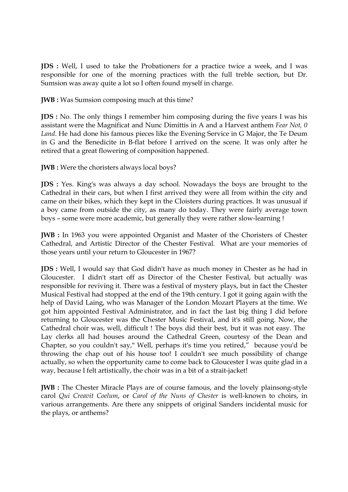**JDS :** Well, I used to take the Probationers for a practice twice a week, and I was responsible for one of the morning practices with the full treble section, but Dr. Sumsion was away quite a lot so I often found myself in charge.

**JWB :** Was Sumsion composing much at this time?

**JDS :** No. The only things I remember him composing during the five years I was his assistant were the Magnificat and Nunc Dimittis in A and a Harvest anthem *Fear Not, 0 Land*. He had done his famous pieces like the Evening Service in G Major, the Te Deum in G and the Benedicite in B-flat before I arrived on the scene. It was only after he retired that a great flowering of composition happened.

**JWB** : Were the choristers always local boys?

**JDS :** Yes. King's was always a day school. Nowadays the boys are brought to the Cathedral in their cars, but when I first arrived they were all from within the city and came on their bikes, which they kept in the Cloisters during practices. It was unusual if a boy came from outside the city, as many do today. They were fairly average town boys – some were more academic, but generally they were rather slow-learning !

**JWB :** In 1963 you were appointed Organist and Master of the Choristers of Chester Cathedral, and Artistic Director of the Chester Festival. What are your memories of those years until your return to Gloucester in 1967?

**JDS :** Well, I would say that God didn't have as much money in Chester as he had in Gloucester. I didn't start off as Director of the Chester Festival, but actually was responsible for reviving it. There was a festival of mystery plays, but in fact the Chester Musical Festival had stopped at the end of the 19th century. I got it going again with the help of David Laing, who was Manager of the London Mozart Players at the time. We got him appointed Festival Administrator, and in fact the last big thing I did before returning to Gloucester was the Chester Music Festival, and it's still going. Now, the Cathedral choir was, well, difficult ! The boys did their best, but it was not easy. The Lay clerks all had houses around the Cathedral Green, courtesy of the Dean and Chapter, so you couldn't say," Well, perhaps it's time you retired," because you'd be throwing the chap out of his house too! I couldn't see much possibility of change actually, so when the opportunity came to come back to Gloucester I was quite glad in a way, because I felt artistically, the choir was in a bit of a strait-jacket!

**JWB** : The Chester Miracle Plays are of course famous, and the lovely plainsong-style carol *Qui Creavit Coelum*, or *Carol of the Nuns of Chester* is well-known to choirs, in various arrangements. Are there any snippets of original Sanders incidental music for the plays, or anthems?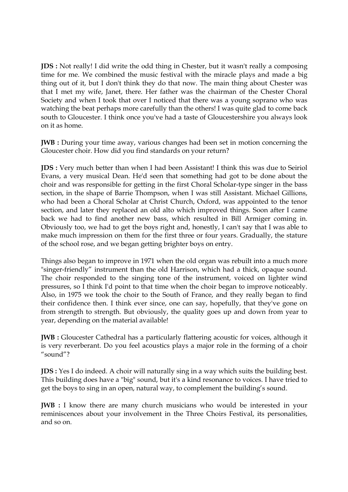**JDS** : Not really! I did write the odd thing in Chester, but it wasn't really a composing time for me. We combined the music festival with the miracle plays and made a big thing out of it, but I don't think they do that now. The main thing about Chester was that I met my wife, Janet, there. Her father was the chairman of the Chester Choral Society and when I took that over I noticed that there was a young soprano who was watching the beat perhaps more carefully than the others! I was quite glad to come back south to Gloucester. I think once you've had a taste of Gloucestershire you always look on it as home.

**JWB** : During your time away, various changes had been set in motion concerning the Gloucester choir. How did you find standards on your return?

**JDS :** Very much better than when I had been Assistant! I think this was due to Seiriol Evans, a very musical Dean. He'd seen that something had got to be done about the choir and was responsible for getting in the first Choral Scholar-type singer in the bass section, in the shape of Barrie Thompson, when I was still Assistant. Michael Gillions, who had been a Choral Scholar at Christ Church, Oxford, was appointed to the tenor section, and later they replaced an old alto which improved things. Soon after I came back we had to find another new bass, which resulted in Bill Armiger coming in. Obviously too, we had to get the boys right and, honestly, I can't say that I was able to make much impression on them for the first three or four years. Gradually, the stature of the school rose, and we began getting brighter boys on entry.

Things also began to improve in 1971 when the old organ was rebuilt into a much more "singer-friendly" instrument than the old Harrison, which had a thick, opaque sound. The choir responded to the singing tone of the instrument, voiced on lighter wind pressures, so I think I'd point to that time when the choir began to improve noticeably. Also, in 1975 we took the choir to the South of France, and they really began to find their confidence then. I think ever since, one can say, hopefully, that they've gone on from strength to strength. But obviously, the quality goes up and down from year to year, depending on the material available!

**JWB :** Gloucester Cathedral has a particularly flattering acoustic for voices, although it is very reverberant. Do you feel acoustics plays a major role in the forming of a choir "sound"?

**JDS :** Yes I do indeed. A choir will naturally sing in a way which suits the building best. This building does have a "big" sound, but it's a kind resonance to voices. I have tried to get the boys to sing in an open, natural way, to complement the building's sound.

**JWB** : I know there are many church musicians who would be interested in your reminiscences about your involvement in the Three Choirs Festival, its personalities, and so on.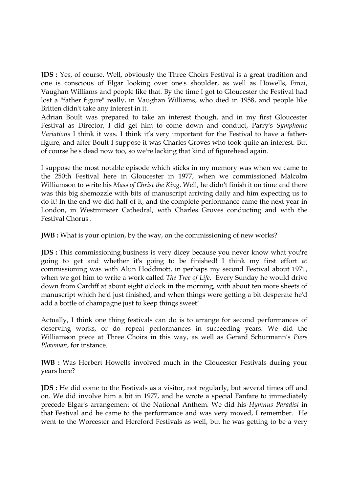**JDS :** Yes, of course. Well, obviously the Three Choirs Festival is a great tradition and one is conscious of Elgar looking over one's shoulder, as well as Howells, Finzi, Vaughan Williams and people like that. By the time I got to Gloucester the Festival had lost a "father figure" really, in Vaughan Williams, who died in 1958, and people like Britten didn't take any interest in it.

Adrian Boult was prepared to take an interest though, and in my first Gloucester Festival as Director, I did get him to come down and conduct, Parry's *Symphonic Variations* I think it was. I think it's very important for the Festival to have a fatherfigure, and after Boult I suppose it was Charles Groves who took quite an interest. But of course he's dead now too, so we're lacking that kind of figurehead again.

I suppose the most notable episode which sticks in my memory was when we came to the 250th Festival here in Gloucester in 1977, when we commissioned Malcolm Williamson to write his *Mass of Christ the King*. Well, he didn't finish it on time and there was this big shemozzle with bits of manuscript arriving daily and him expecting us to do it! In the end we did half of it, and the complete performance came the next year in London, in Westminster Cathedral, with Charles Groves conducting and with the Festival Chorus .

**JWB** : What is your opinion, by the way, on the commissioning of new works?

**JDS :** This commissioning,business is very dicey because you never know what you're going to get and whether it's going to be finished! I think my first effort at commissioning was with Alun Hoddinott, in perhaps my second Festival about 1971, when we got him to write a work called *The Tree of Life*. Every Sunday he would drive down from Cardiff at about eight o'clock in the morning, with about ten more sheets of manuscript which he'd just finished, and when things were getting a bit desperate he'd add a bottle of champagne just to keep things sweet!

Actually, I think one thing festivals can do is to arrange for second performances of deserving works, or do repeat performances in succeeding years. We did the Williamson piece at Three Choirs in this way, as well as Gerard Schurmann's *Piers Plowman*, for instance.

**JWB :** Was Herbert Howells involved much in the Gloucester Festivals during your years here?

**JDS :** He did come to the Festivals as a visitor, not regularly, but several times off and on. We did involve him a bit in 1977, and he wrote a special Fanfare to immediately precede Elgar's arrangement of the National Anthem. We did his *Hymnus Paradisi* in that Festival and he came to the performance and was very moved, I remember. He went to the Worcester and Hereford Festivals as well, but he was getting to be a very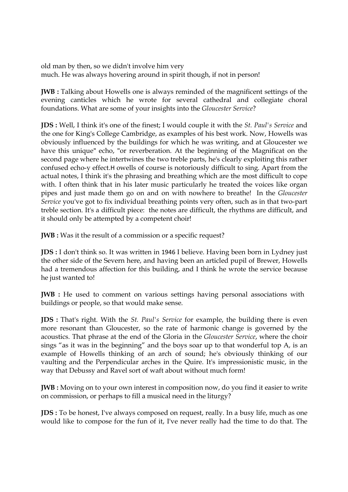old man by then, so we didn't involve him very much. He was always hovering around in spirit though, if not in person!

**JWB :** Talking about Howells one is always reminded of the magnificent settings of the evening canticles which he wrote for several cathedral and collegiate choral foundations. What are some of your insights into the *Gloucester Service*?

**JDS :** Well, I think it's one of the finest; I would couple it with the *St. Paul's Service* and the one for King's College Cambridge, as examples of his best work. Now, Howells was obviously influenced by the buildings for which he was writing, and at Gloucester we have this unique" echo, "or reverberation. At the beginning of the Magnificat on the second page where he intertwines the two treble parts, he's clearly exploiting this rather confused echo-y effect. H owells of course is notoriously difficult to sing. Apart from the actual notes, I think it's the phrasing and breathing which are the most difficult to cope with. I often think that in his later music particularly he treated the voices like organ pipes and just made them go on and on with nowhere to breathe! In the *Gloucester Service* you've got to fix individual breathing points very often, such as in that two-part treble section. It's a difficult piece: the notes are difficult, the rhythms are difficult, and it should only be attempted by a competent choir!

**JWB** : Was it the result of a commission or a specific request?

**JDS :** I don't think so. It was written in 1946 I believe. Having been born in Lydney just the other side of the Severn here, and having been an articled pupil of Brewer, Howells had a tremendous affection for this building, and I think he wrote the service because he just wanted to!

**JWB** : He used to comment on various settings having personal associations with buildings or people, so that would make sense.

**JDS :** That's right. With the *St. Paul's Service* for example, the building there is even more resonant than Gloucester, so the rate of harmonic change is governed by the acoustics. That phrase at the end of the Gloria in the *Gloucester Service*, where the choir sings "as it was in the beginning" and the boys soar up to that wonderful top A, is an example of Howells thinking of an arch of sound; he's obviously thinking of our vaulting and the Perpendicular arches in the Quire. It's impressionistic music, in the way that Debussy and Ravel sort of waft about without much form!

**JWB :** Moving on to your own interest in composition now, do you find it easier to write on commission, or perhaps to fill a musical need in the liturgy?

**JDS**: To be honest, I've always composed on request, really. In a busy life, much as one would like to compose for the fun of it, I've never really had the time to do that. The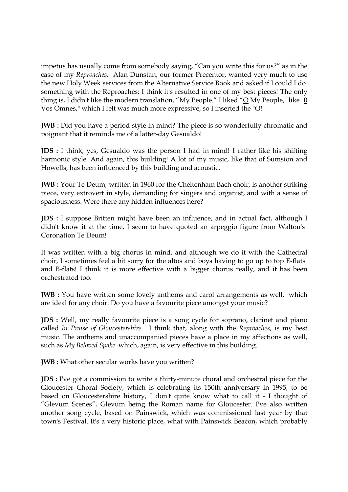impetus has usually come from somebody saying, "Can you write this for us?" as in the case of my *Reproaches*. Alan Dunstan, our former Precentor, wanted very much to use the new Holy Week services from the Alternative Service Book and asked if I could I do something with the Reproaches; I think it's resulted in one of my best pieces! The only thing is, I didn't like the modern translation, "My People." I liked "O My People," like "0 Vos Omnes," which I felt was much more expressive, so I inserted the "O!"

**JWB :** Did you have a period style in mind? The piece is so wonderfully chromatic and poignant that it reminds me of a latter-day Gesualdo!

**JDS :** I think, yes, Gesualdo was the person I had in mind! I rather like his shifting harmonic style. And again, this building! A lot of my music, like that of Sumsion and Howells, has been influenced by this building and acoustic.

**JWB :** Your Te Deum, written in 1960 for the Cheltenham Bach choir, is another striking piece, very extrovert in style, demanding for singers and organist, and with a sense of spaciousness. Were there any hidden influences here?

**JDS :** I suppose Britten might have been an influence, and in actual fact, although I didn't know it at the time, I seem to have quoted an arpeggio figure from Walton's Coronation Te Deum!

It was written with a big chorus in mind, and although we do it with the Cathedral choir, I sometimes feel a bit sorry for the altos and boys having to go up to top E-flats and B-flats! I think it is more effective with a bigger chorus really, and it has been orchestrated too.

**JWB :** You have written some lovely anthems and carol arrangements as well, which are ideal for any choir. Do you have a favourite piece amongst your music?

**JDS :** Well, my really favourite piece is a song cycle for soprano, clarinet and piano called *In Praise of Gloucestershire*. I think that, along with the *Reproaches*, is my best music. The anthems and unaccompanied pieces have a place in my affections as well, such as *My Beloved Spake* which, again, is very effective in this building.

**JWB** : What other secular works have you written?

**JDS :** I've got a commission to write a thirty-minute choral and orchestral piece for the Gloucester Choral Society, which is celebrating its 150th anniversary in 1995, to be based on Gloucestershire history, I don't quite know what to call it - I thought of "Glevum Scenes", Glevum being the Roman name for Gloucester. I've also written another song cycle, based on Painswick, which was commissioned last year by that town's Festival. It's a very historic place, what with Painswick Beacon, which probably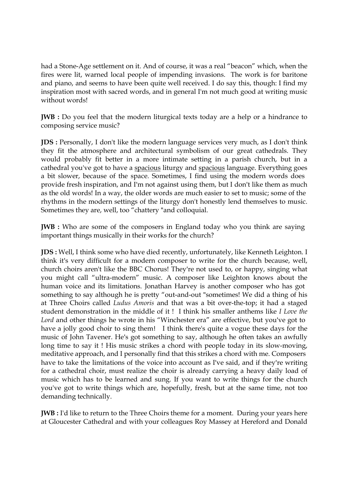had a Stone-Age settlement on it. And of course, it was a real "beacon" which, when the fires were lit, warned local people of impending invasions. The work is for baritone and piano, and seems to have been quite well received. I do say this, though: I find my inspiration most with sacred words, and in general I'm not much good at writing music without words!

**JWB** : Do you feel that the modern liturgical texts today are a help or a hindrance to composing service music?

**JDS :** Personally, I don't like the modern language services very much, as I don't think they fit the atmosphere and architectural symbolism of our great cathedrals. They would probably fit better in a more intimate setting in a parish church, but in a cathedral you've got to have a spacious liturgy and spacious language. Everything goes a bit slower, because of the space. Sometimes, I find using the modern words does provide fresh inspiration, and I'm not against using them, but I don't like them as much as the old words! In a way, the older words are much easier to set to music; some of the rhythms in the modern settings of the liturgy don't honestly lend themselves to music. Sometimes they are, well, too "chattery "and colloquial.

**JWB :** Who are some of the composers in England today who you think are saying important things musically in their works for the church?

**JDS :** Well, I think some who have died recently, unfortunately, like Kenneth Leighton. I think it's very difficult for a modern composer to write for the church because, well, church choirs aren't like the BBC Chorus! They're not used to, or happy, singing what you might call "ultra-modern" music. A composer like Leighton knows about the human voice and its limitations. Jonathan Harvey is another composer who has got something to say although he is pretty "out-and-out "sometimes! We did a thing of his at Three Choirs called *Ludus Amoris* and that was a bit over-the -top; it had a staged student demonstration in the middle of it ! I think his smaller anthems like *I Love the Lord* and other things he wrote in his "Winchester era" are effective, but you've got to have a jolly good choir to sing them! I think there's quite a vogue these days for the music of John Tavener. He's got something to say, although he often takes an awfully long time to say it ! His music strikes a chord with people today in its slow-moving, meditative approach, and I personally find that this strikes a chord with me. Composers have to take the limitations of the voice into account as I've said, and if they're writing for a cathedral choir, must realize the choir is already carrying a heavy daily load of music which has to be learned and sung. If you want to write things for the church you've got to write things which are, hopefully, fresh, but at the same time, not too demanding technically.

**JWB :** I'd like to return to the Three Choirs theme for a moment. During your years here at Gloucester Cathedral and with your colleagues Roy Massey at Hereford and Donald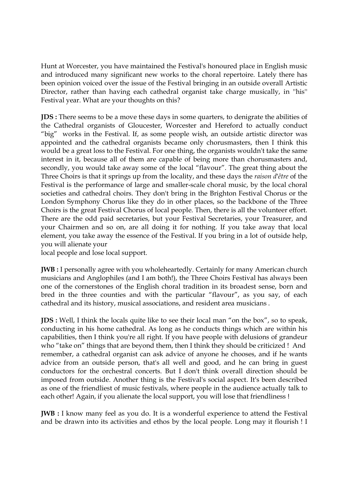Hunt at Worcester, you have maintained the Festival's honoured place in English music and introduced many significant new works to the choral repertoire. Lately there has been opinion voiced over the issue of the Festival bringing in an outside overall Artistic Director, rather than having each cathedral organist take charge musically, in ''his'' Festival year. What are your thoughts on this?

**JDS**: There seems to be a move these days in some quarters, to denigrate the abilities of the Cathedral organists of Gloucester, Worcester and Hereford to actually conduct "big" works in the Festival. If, as some people wish, an outside artistic director was appointed and the cathedral organists became only chorusmasters, then I think this would be a great loss to the Festival. For one thing, the organists wouldn't take the same interest in it, because all of them are capable of being more than chorusmasters and, secondly, you would take away some of the local "flavour". The great thing about the Three Choirs is that it springs up from the locality, and these days the *raison d*'*être* of the Festival is the performance of large and smaller-scale choral music, by the local choral societies and cathedral choirs. They don't bring in the Brighton Festival Chorus or the London Symphony Chorus like they do in other places, so the backbone of the Three Choirs is the great Festival Chorus of local people. Then, there is all the volunteer effort. There are the odd paid secretaries, but your Festival Secretaries, your Treasurer, and your Chairmen and so on, are all doing it for nothing. If you take away that local element, you take away the essence of the Festival. If you bring in a lot of outside help, you will alienate your

local people and lose local support.

**JWB** : I personally agree with you wholeheartedly. Certainly for many American church musicians and Anglophiles (and I am both!), the Three Choirs Festival has always been one of the cornerstones of the English choral tradition in its broadest sense, born and bred in the three counties and with the particular "flavour", as you say, of each cathedral and its history, musical associations, and resident area musicians .

**JDS :** Well, I think the locals quite like to see their local man "on the box", so to speak, conducting in his home cathedral. As long as he conducts things which are within his capabilities, then I think you're all right. If you have people with delusions of grandeur who "take on" things that are beyond them, then I think they should be criticized ! And remember, a cathedral organist can ask advice of anyone he chooses, and if he wants advice from an outside person, that's all well and good, and he can bring in guest conductors for the orchestral concerts. But I don't think overall direction should be imposed from outside. Another thing is the Festival's social aspect. It's been described as one of the friendliest of music festivals, where people in the audience actually talk to each other! Again, if you alienate the local support, you will lose that friendliness !

**JWB** : I know many feel as you do. It is a wonderful experience to attend the Festival and be drawn into its activities and ethos by the local people. Long may it flourish ! I